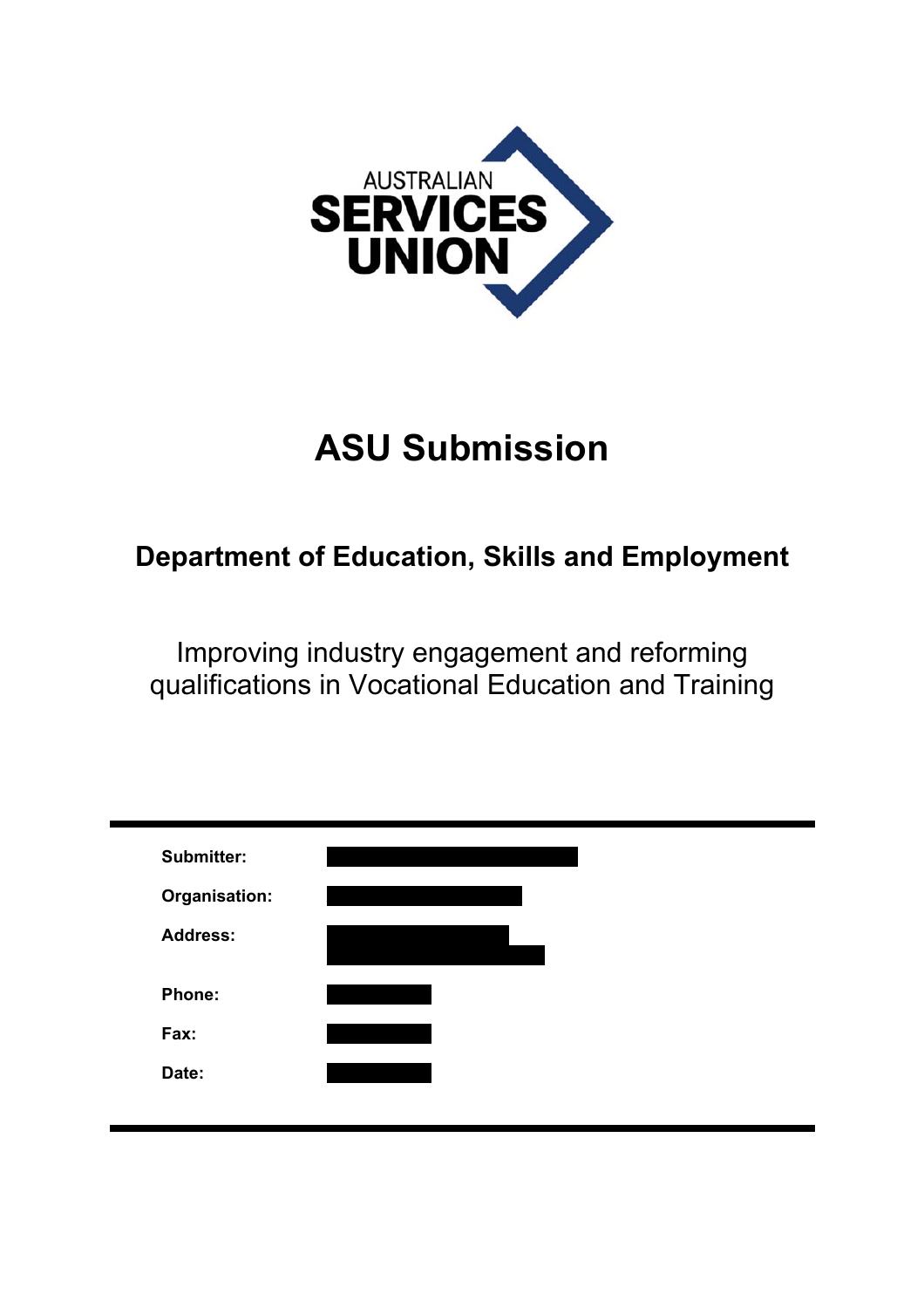

# **ASU Submission**

# **Department of Education, Skills and Employment**

Improving industry engagement and reforming qualifications in Vocational Education and Training

| <b>Submitter:</b> |  |  |  |
|-------------------|--|--|--|
| Organisation:     |  |  |  |
| <b>Address:</b>   |  |  |  |
| <b>Phone:</b>     |  |  |  |
| Fax:              |  |  |  |
| Date:             |  |  |  |
|                   |  |  |  |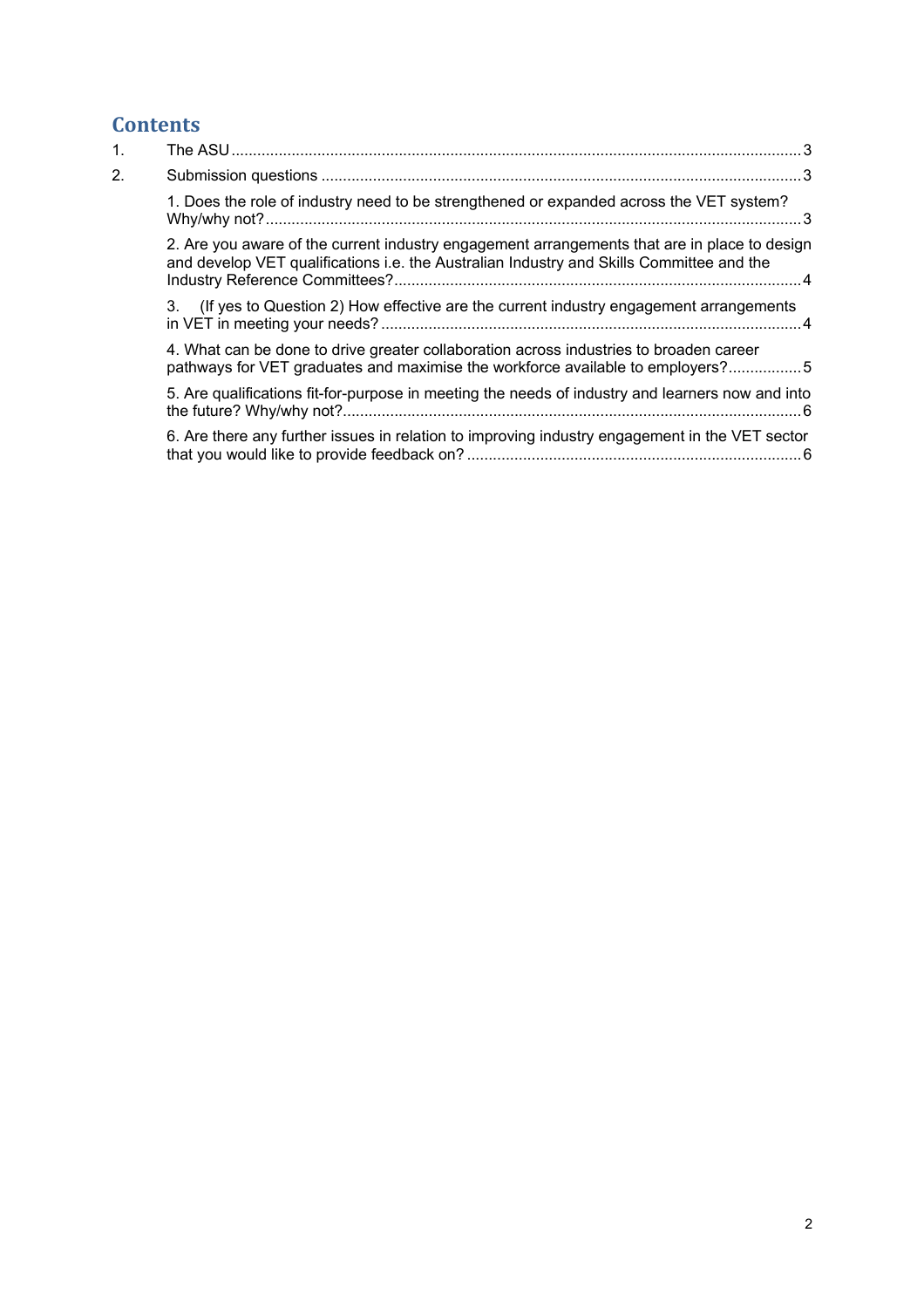# **Contents**

| 1.               |                                                                                                                                                                                          |  |
|------------------|------------------------------------------------------------------------------------------------------------------------------------------------------------------------------------------|--|
| $\overline{2}$ . |                                                                                                                                                                                          |  |
|                  | 1. Does the role of industry need to be strengthened or expanded across the VET system?                                                                                                  |  |
|                  | 2. Are you aware of the current industry engagement arrangements that are in place to design<br>and develop VET qualifications i.e. the Australian Industry and Skills Committee and the |  |
|                  | 3. (If yes to Question 2) How effective are the current industry engagement arrangements                                                                                                 |  |
|                  | 4. What can be done to drive greater collaboration across industries to broaden career<br>pathways for VET graduates and maximise the workforce available to employers?5                 |  |
|                  | 5. Are qualifications fit-for-purpose in meeting the needs of industry and learners now and into                                                                                         |  |
|                  | 6. Are there any further issues in relation to improving industry engagement in the VET sector                                                                                           |  |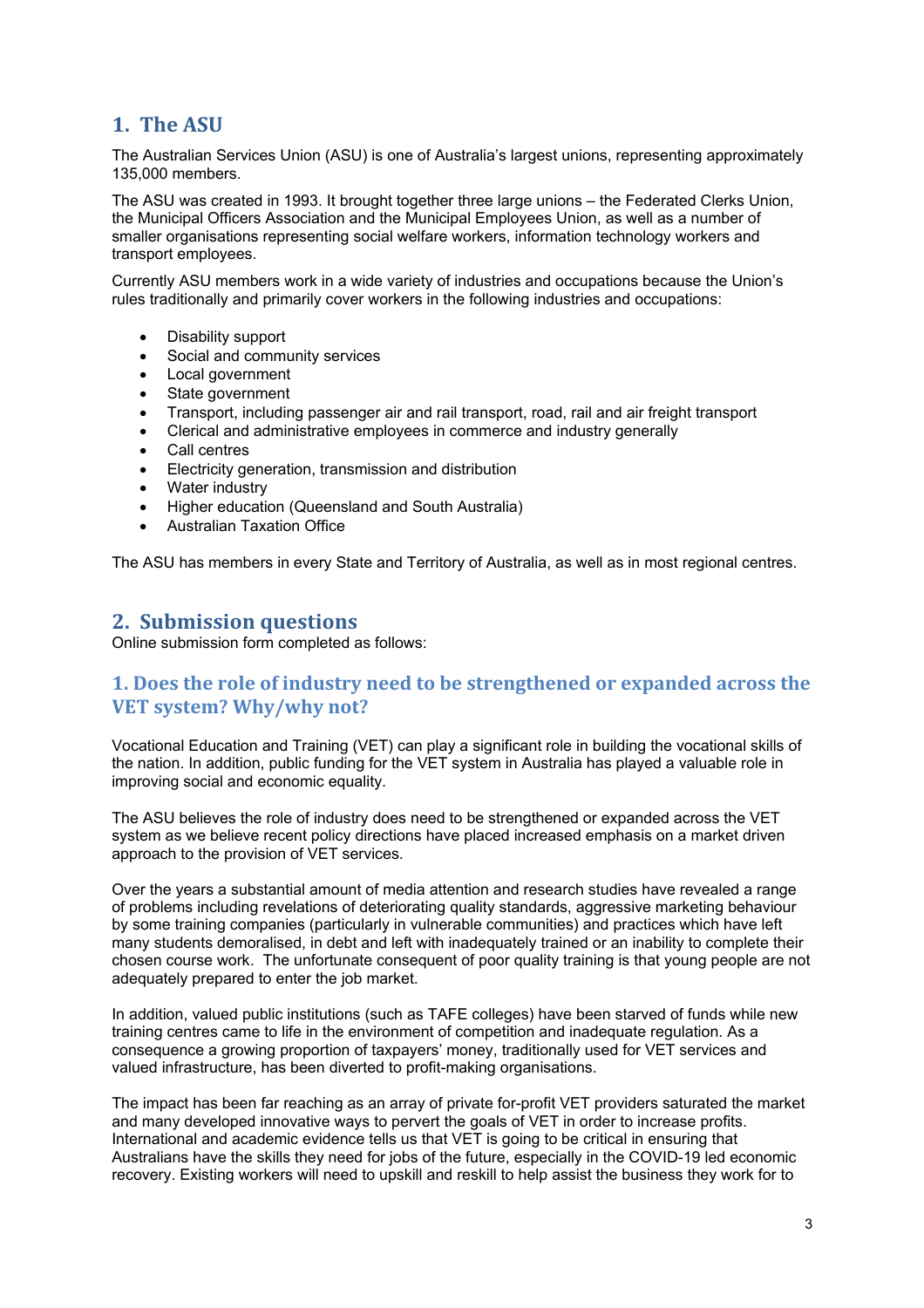# **1. The ASU**

The Australian Services Union (ASU) is one of Australia's largest unions, representing approximately 135,000 members.

The ASU was created in 1993. It brought together three large unions – the Federated Clerks Union, the Municipal Officers Association and the Municipal Employees Union, as well as a number of smaller organisations representing social welfare workers, information technology workers and transport employees.

Currently ASU members work in a wide variety of industries and occupations because the Union's rules traditionally and primarily cover workers in the following industries and occupations:

- Disability support
- Social and community services
- Local government
- State government
- Transport, including passenger air and rail transport, road, rail and air freight transport
- Clerical and administrative employees in commerce and industry generally
- Call centres
- Electricity generation, transmission and distribution
- Water industry
- Higher education (Queensland and South Australia)
- Australian Taxation Office

The ASU has members in every State and Territory of Australia, as well as in most regional centres.

#### **2. Submission questions**

Online submission form completed as follows:

# **1. Does the role of industry need to be strengthened or expanded across the VET system? Why/why not?**

Vocational Education and Training (VET) can play a significant role in building the vocational skills of the nation. In addition, public funding for the VET system in Australia has played a valuable role in improving social and economic equality.

The ASU believes the role of industry does need to be strengthened or expanded across the VET system as we believe recent policy directions have placed increased emphasis on a market driven approach to the provision of VET services.

Over the years a substantial amount of media attention and research studies have revealed a range of problems including revelations of deteriorating quality standards, aggressive marketing behaviour by some training companies (particularly in vulnerable communities) and practices which have left many students demoralised, in debt and left with inadequately trained or an inability to complete their chosen course work. The unfortunate consequent of poor quality training is that young people are not adequately prepared to enter the job market.

In addition, valued public institutions (such as TAFE colleges) have been starved of funds while new training centres came to life in the environment of competition and inadequate regulation. As a consequence a growing proportion of taxpayers' money, traditionally used for VET services and valued infrastructure, has been diverted to profit-making organisations.

The impact has been far reaching as an array of private for-profit VET providers saturated the market and many developed innovative ways to pervert the goals of VET in order to increase profits. International and academic evidence tells us that VET is going to be critical in ensuring that Australians have the skills they need for jobs of the future, especially in the COVID-19 led economic recovery. Existing workers will need to upskill and reskill to help assist the business they work for to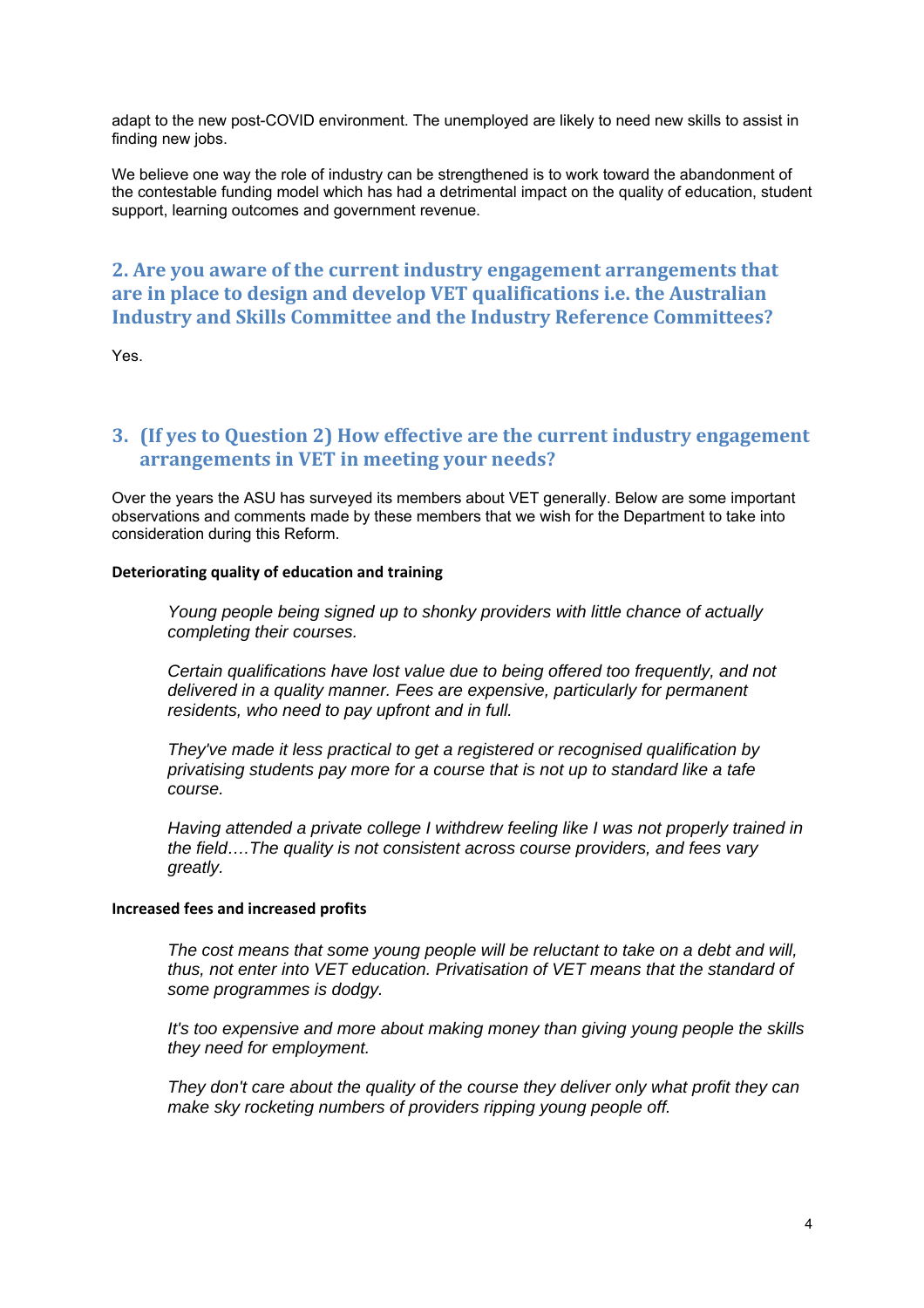adapt to the new post-COVID environment. The unemployed are likely to need new skills to assist in finding new jobs.

We believe one way the role of industry can be strengthened is to work toward the abandonment of the contestable funding model which has had a detrimental impact on the quality of education, student support, learning outcomes and government revenue.

# **2. Are you aware of the current industry engagement arrangements that are in place to design and develop VET qualifications i.e. the Australian Industry and Skills Committee and the Industry Reference Committees?**

Yes.

# **3. (If yes to Question 2) How effective are the current industry engagement arrangements in VET in meeting your needs?**

Over the years the ASU has surveyed its members about VET generally. Below are some important observations and comments made by these members that we wish for the Department to take into consideration during this Reform.

#### **Deteriorating quality of education and training**

*Young people being signed up to shonky providers with little chance of actually completing their courses.* 

*Certain qualifications have lost value due to being offered too frequently, and not delivered in a quality manner. Fees are expensive, particularly for permanent residents, who need to pay upfront and in full.* 

*They've made it less practical to get a registered or recognised qualification by privatising students pay more for a course that is not up to standard like a tafe course.* 

*Having attended a private college I withdrew feeling like I was not properly trained in the field….The quality is not consistent across course providers, and fees vary greatly.* 

#### **Increased fees and increased profits**

*The cost means that some young people will be reluctant to take on a debt and will, thus, not enter into VET education. Privatisation of VET means that the standard of some programmes is dodgy.* 

*It's too expensive and more about making money than giving young people the skills they need for employment.* 

*They don't care about the quality of the course they deliver only what profit they can make sky rocketing numbers of providers ripping young people off.*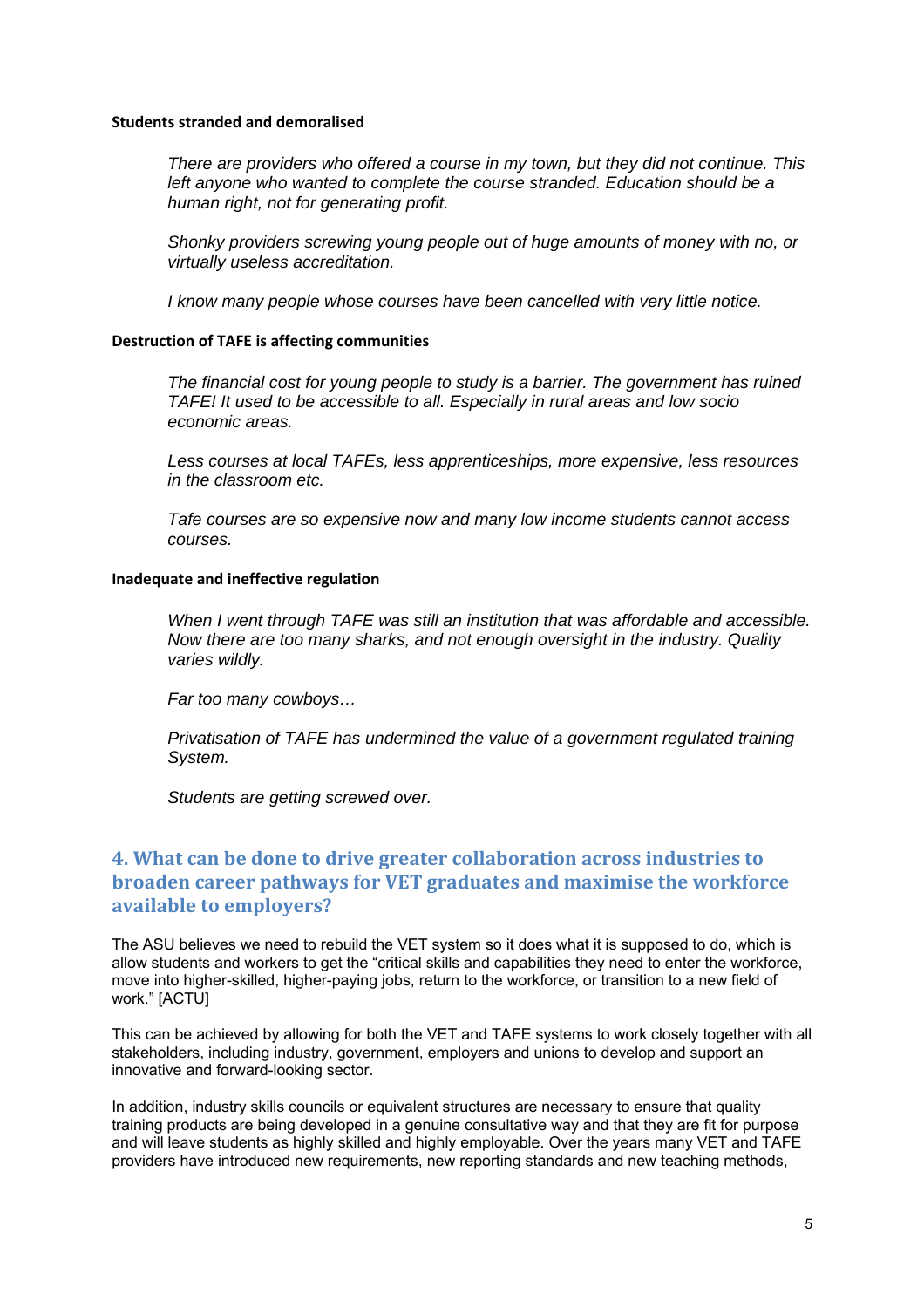#### **Students stranded and demoralised**

*There are providers who offered a course in my town, but they did not continue. This left anyone who wanted to complete the course stranded. Education should be a human right, not for generating profit.* 

*Shonky providers screwing young people out of huge amounts of money with no, or virtually useless accreditation.* 

*I know many people whose courses have been cancelled with very little notice.* 

#### **Destruction of TAFE is affecting communities**

*The financial cost for young people to study is a barrier. The government has ruined TAFE! It used to be accessible to all. Especially in rural areas and low socio economic areas.* 

*Less courses at local TAFEs, less apprenticeships, more expensive, less resources in the classroom etc.* 

*Tafe courses are so expensive now and many low income students cannot access courses.* 

#### **Inadequate and ineffective regulation**

*When I went through TAFE was still an institution that was affordable and accessible. Now there are too many sharks, and not enough oversight in the industry. Quality varies wildly.* 

*Far too many cowboys…* 

*Privatisation of TAFE has undermined the value of a government regulated training System.* 

*Students are getting screwed over.* 

# **4. What can be done to drive greater collaboration across industries to broaden career pathways for VET graduates and maximise the workforce available to employers?**

The ASU believes we need to rebuild the VET system so it does what it is supposed to do, which is allow students and workers to get the "critical skills and capabilities they need to enter the workforce, move into higher-skilled, higher-paying jobs, return to the workforce, or transition to a new field of work." [ACTU]

This can be achieved by allowing for both the VET and TAFE systems to work closely together with all stakeholders, including industry, government, employers and unions to develop and support an innovative and forward-looking sector.

In addition, industry skills councils or equivalent structures are necessary to ensure that quality training products are being developed in a genuine consultative way and that they are fit for purpose and will leave students as highly skilled and highly employable. Over the years many VET and TAFE providers have introduced new requirements, new reporting standards and new teaching methods,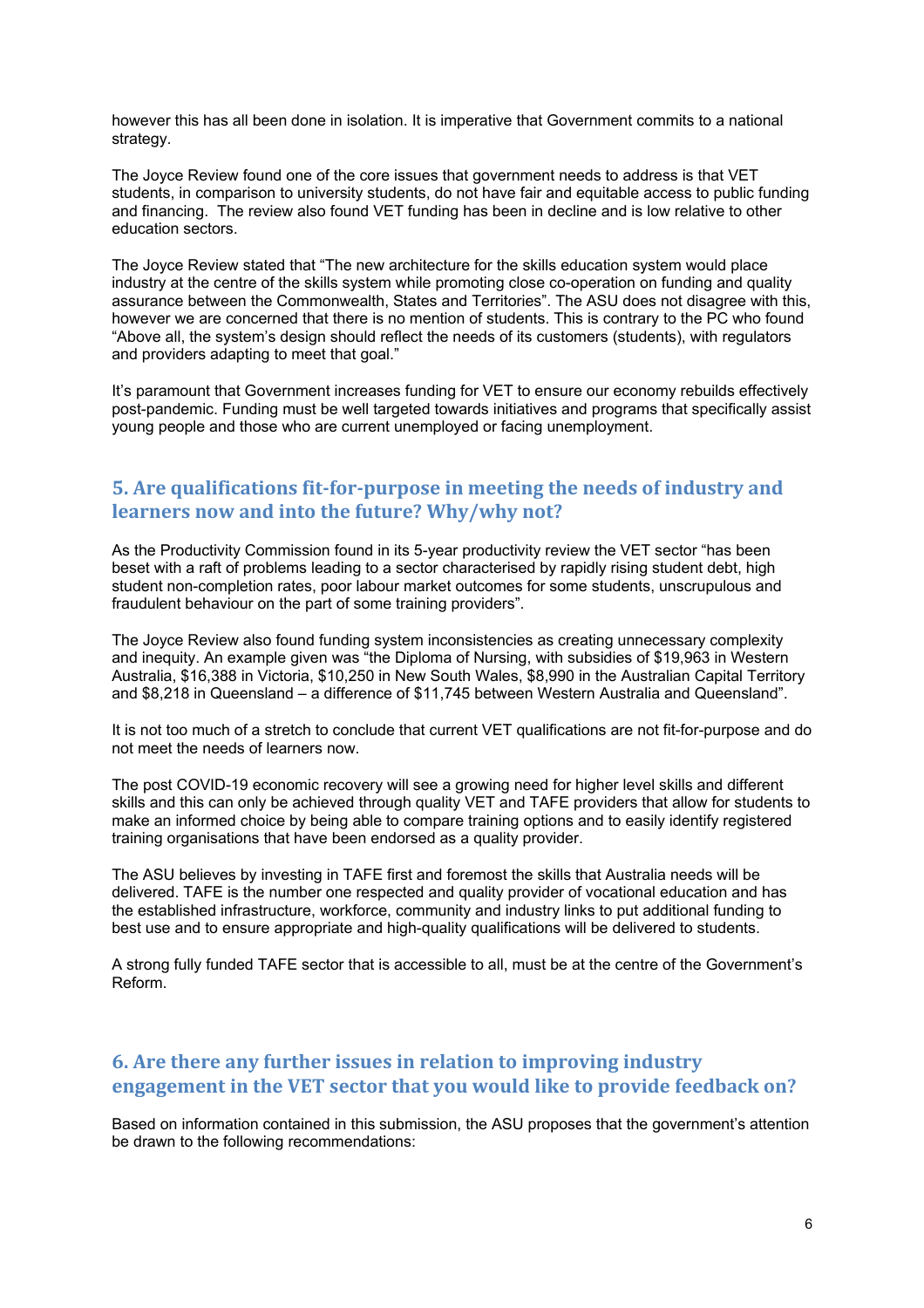however this has all been done in isolation. It is imperative that Government commits to a national strategy.

The Joyce Review found one of the core issues that government needs to address is that VET students, in comparison to university students, do not have fair and equitable access to public funding and financing. The review also found VET funding has been in decline and is low relative to other education sectors.

The Joyce Review stated that "The new architecture for the skills education system would place industry at the centre of the skills system while promoting close co-operation on funding and quality assurance between the Commonwealth, States and Territories". The ASU does not disagree with this, however we are concerned that there is no mention of students. This is contrary to the PC who found "Above all, the system's design should reflect the needs of its customers (students), with regulators and providers adapting to meet that goal."

It's paramount that Government increases funding for VET to ensure our economy rebuilds effectively post-pandemic. Funding must be well targeted towards initiatives and programs that specifically assist young people and those who are current unemployed or facing unemployment.

## **5. Are qualifications fit‐for‐purpose in meeting the needs of industry and learners now and into the future? Why/why not?**

As the Productivity Commission found in its 5-year productivity review the VET sector "has been beset with a raft of problems leading to a sector characterised by rapidly rising student debt, high student non-completion rates, poor labour market outcomes for some students, unscrupulous and fraudulent behaviour on the part of some training providers".

The Joyce Review also found funding system inconsistencies as creating unnecessary complexity and inequity. An example given was "the Diploma of Nursing, with subsidies of \$19,963 in Western Australia, \$16,388 in Victoria, \$10,250 in New South Wales, \$8,990 in the Australian Capital Territory and \$8,218 in Queensland – a difference of \$11,745 between Western Australia and Queensland".

It is not too much of a stretch to conclude that current VET qualifications are not fit-for-purpose and do not meet the needs of learners now.

The post COVID-19 economic recovery will see a growing need for higher level skills and different skills and this can only be achieved through quality VET and TAFE providers that allow for students to make an informed choice by being able to compare training options and to easily identify registered training organisations that have been endorsed as a quality provider.

The ASU believes by investing in TAFE first and foremost the skills that Australia needs will be delivered. TAFE is the number one respected and quality provider of vocational education and has the established infrastructure, workforce, community and industry links to put additional funding to best use and to ensure appropriate and high-quality qualifications will be delivered to students.

A strong fully funded TAFE sector that is accessible to all, must be at the centre of the Government's Reform.

## **6. Are there any further issues in relation to improving industry engagement in the VET sector that you would like to provide feedback on?**

Based on information contained in this submission, the ASU proposes that the government's attention be drawn to the following recommendations: